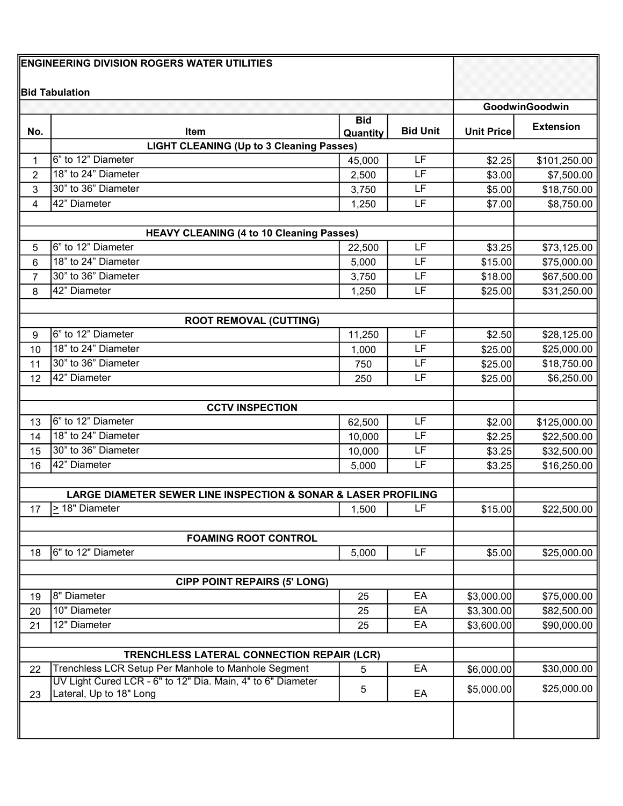| <b>ENGINEERING DIVISION ROGERS WATER UTILITIES</b> |                                                                                        |              |                 |                    |                           |
|----------------------------------------------------|----------------------------------------------------------------------------------------|--------------|-----------------|--------------------|---------------------------|
|                                                    | <b>Bid Tabulation</b>                                                                  |              |                 |                    |                           |
|                                                    |                                                                                        |              |                 |                    | GoodwinGoodwin            |
|                                                    |                                                                                        | <b>Bid</b>   | <b>Bid Unit</b> |                    | <b>Extension</b>          |
| No.                                                | <b>Item</b><br><b>LIGHT CLEANING (Up to 3 Cleaning Passes)</b>                         | Quantity     |                 | <b>Unit Price</b>  |                           |
| 1                                                  | 6" to 12" Diameter                                                                     | 45,000       | LF              | \$2.25             | \$101,250.00              |
| 2                                                  | 18" to 24" Diameter                                                                    | 2,500        | LF              | \$3.00             | \$7,500.00                |
| 3                                                  | 30" to 36" Diameter                                                                    | 3,750        | LF              | \$5.00             | \$18,750.00               |
| 4                                                  | 42" Diameter                                                                           | 1,250        | LF              | \$7.00             | \$8,750.00                |
|                                                    |                                                                                        |              |                 |                    |                           |
|                                                    | <b>HEAVY CLEANING (4 to 10 Cleaning Passes)</b>                                        |              |                 |                    |                           |
| 5                                                  | 6" to 12" Diameter                                                                     | 22,500       | LF              | \$3.25             | \$73,125.00               |
| 6                                                  | 18" to 24" Diameter                                                                    | 5,000        | LF              | \$15.00            | \$75,000.00               |
| $\overline{7}$                                     | 30" to 36" Diameter                                                                    | 3,750        | LF              | \$18.00            | \$67,500.00               |
| 8                                                  | 42" Diameter                                                                           | 1,250        | LF              | \$25.00            | \$31,250.00               |
|                                                    |                                                                                        |              |                 |                    |                           |
|                                                    | <b>ROOT REMOVAL (CUTTING)</b><br>6" to 12" Diameter                                    |              | LF              |                    |                           |
| 9                                                  | 18" to 24" Diameter                                                                    | 11,250       | LF              | \$2.50             | \$28,125.00               |
| 10                                                 | 30" to 36" Diameter                                                                    | 1,000<br>750 | LF              | \$25.00            | \$25,000.00               |
| 11<br>12                                           | 42" Diameter                                                                           | 250          | LF              | \$25.00<br>\$25.00 | \$18,750.00<br>\$6,250.00 |
|                                                    |                                                                                        |              |                 |                    |                           |
| <b>CCTV INSPECTION</b>                             |                                                                                        |              |                 |                    |                           |
| 13                                                 | 6" to 12" Diameter                                                                     | 62,500       | LF              | \$2.00             | \$125,000.00              |
| 14                                                 | 18" to 24" Diameter                                                                    | 10,000       | LF              | \$2.25             | \$22,500.00               |
| 15                                                 | 30" to 36" Diameter                                                                    | 10,000       | LF              | \$3.25             | \$32,500.00               |
| 16                                                 | 42" Diameter                                                                           | 5,000        | LF              | \$3.25             | \$16,250.00               |
|                                                    |                                                                                        |              |                 |                    |                           |
|                                                    | <b>LARGE DIAMETER SEWER LINE INSPECTION &amp; SONAR &amp; LASER PROFILING</b>          |              |                 |                    |                           |
| 17 <sup>17</sup>                                   | 2 18" Diameter                                                                         | 1,500        | LF              | \$15.00            | \$22,500.00               |
|                                                    |                                                                                        |              |                 |                    |                           |
|                                                    | <b>FOAMING ROOT CONTROL</b><br>6" to 12" Diameter                                      |              | LF              |                    |                           |
| 18                                                 |                                                                                        | 5,000        |                 | \$5.00             | \$25,000.00               |
|                                                    | <b>CIPP POINT REPAIRS (5' LONG)</b>                                                    |              |                 |                    |                           |
| 19                                                 | 8" Diameter                                                                            | 25           | EA              | \$3,000.00         | \$75,000.00               |
| 20                                                 | 10" Diameter                                                                           | 25           | EA              | \$3,300.00         | \$82,500.00               |
| 21                                                 | 12" Diameter                                                                           | 25           | EA              | \$3,600.00         | \$90,000.00               |
|                                                    |                                                                                        |              |                 |                    |                           |
| TRENCHLESS LATERAL CONNECTION REPAIR (LCR)         |                                                                                        |              |                 |                    |                           |
| 22                                                 | Trenchless LCR Setup Per Manhole to Manhole Segment                                    | 5            | EA              | \$6,000.00         | \$30,000.00               |
| 23                                                 | UV Light Cured LCR - 6" to 12" Dia. Main, 4" to 6" Diameter<br>Lateral, Up to 18" Long | 5            | EA              | \$5,000.00         | \$25,000.00               |
|                                                    |                                                                                        |              |                 |                    |                           |
|                                                    |                                                                                        |              |                 |                    |                           |
|                                                    |                                                                                        |              |                 |                    |                           |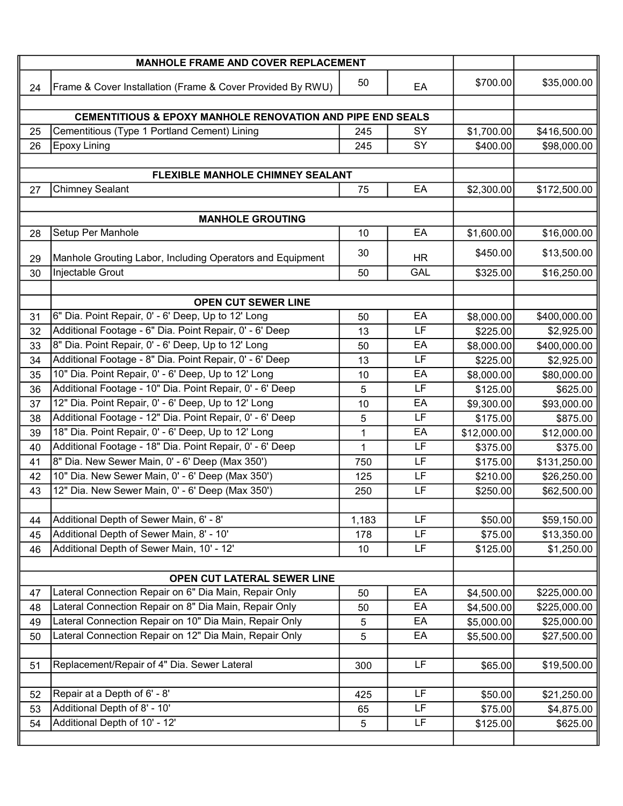|                             | <b>MANHOLE FRAME AND COVER REPLACEMENT</b>                            |       |           |             |              |  |
|-----------------------------|-----------------------------------------------------------------------|-------|-----------|-------------|--------------|--|
| 24                          | Frame & Cover Installation (Frame & Cover Provided By RWU)            | 50    | EA        | \$700.00    | \$35,000.00  |  |
|                             |                                                                       |       |           |             |              |  |
|                             | <b>CEMENTITIOUS &amp; EPOXY MANHOLE RENOVATION AND PIPE END SEALS</b> |       |           |             |              |  |
| 25                          | Cementitious (Type 1 Portland Cement) Lining                          | 245   | SY        | \$1,700.00  | \$416,500.00 |  |
| 26                          | <b>Epoxy Lining</b>                                                   | 245   | SY        | \$400.00    | \$98,000.00  |  |
|                             |                                                                       |       |           |             |              |  |
|                             | <b>FLEXIBLE MANHOLE CHIMNEY SEALANT</b><br><b>Chimney Sealant</b>     |       | EA        |             |              |  |
| 27                          |                                                                       | 75    |           | \$2,300.00  | \$172,500.00 |  |
|                             | <b>MANHOLE GROUTING</b>                                               |       |           |             |              |  |
| 28                          | Setup Per Manhole                                                     | 10    | EA        | \$1,600.00  | \$16,000.00  |  |
| 29                          | Manhole Grouting Labor, Including Operators and Equipment             | 30    | <b>HR</b> | \$450.00    | \$13,500.00  |  |
| 30                          | Injectable Grout                                                      | 50    | GAL       | \$325.00    | \$16,250.00  |  |
|                             |                                                                       |       |           |             |              |  |
|                             | <b>OPEN CUT SEWER LINE</b>                                            |       |           |             |              |  |
| 31                          | 6" Dia. Point Repair, 0' - 6' Deep, Up to 12' Long                    | 50    | EA        | \$8,000.00  | \$400,000.00 |  |
| 32                          | Additional Footage - 6" Dia. Point Repair, 0' - 6' Deep               | 13    | LF        | \$225.00    | \$2,925.00   |  |
| 33                          | 8" Dia. Point Repair, 0' - 6' Deep, Up to 12' Long                    | 50    | EA        | \$8,000.00  | \$400,000.00 |  |
| 34                          | Additional Footage - 8" Dia. Point Repair, 0' - 6' Deep               | 13    | LF        | \$225.00    | \$2,925.00   |  |
| 35                          | 10" Dia. Point Repair, 0' - 6' Deep, Up to 12' Long                   | 10    | EA        | \$8,000.00  | \$80,000.00  |  |
| 36                          | Additional Footage - 10" Dia. Point Repair, 0' - 6' Deep              | 5     | LF        | \$125.00    | \$625.00     |  |
| 37                          | 12" Dia. Point Repair, 0' - 6' Deep, Up to 12' Long                   | 10    | EA        | \$9,300.00  | \$93,000.00  |  |
| 38                          | Additional Footage - 12" Dia. Point Repair, 0' - 6' Deep              | 5     | LF        | \$175.00    | \$875.00     |  |
| 39                          | 18" Dia. Point Repair, 0' - 6' Deep, Up to 12' Long                   | 1     | EA        | \$12,000.00 | \$12,000.00  |  |
| 40                          | Additional Footage - 18" Dia. Point Repair, 0' - 6' Deep              | 1     | LF        | \$375.00    | \$375.00     |  |
| 41                          | 8" Dia. New Sewer Main, 0' - 6' Deep (Max 350')                       | 750   | LF        | \$175.00    | \$131,250.00 |  |
| 42                          | 10" Dia. New Sewer Main, 0' - 6' Deep (Max 350')                      | 125   | LF        | \$210.00    | \$26,250.00  |  |
| 43                          | 12" Dia. New Sewer Main, 0' - 6' Deep (Max 350')                      | 250   | LF        | \$250.00    | \$62,500.00  |  |
| 44                          | Additional Depth of Sewer Main, 6' - 8'                               | 1,183 | LF        | \$50.00     | \$59,150.00  |  |
| 45                          | Additional Depth of Sewer Main, 8' - 10'                              | 178   | LF        | \$75.00     | \$13,350.00  |  |
| 46                          | Additional Depth of Sewer Main, 10' - 12'                             | 10    | LF        | \$125.00    | \$1,250.00   |  |
|                             |                                                                       |       |           |             |              |  |
| OPEN CUT LATERAL SEWER LINE |                                                                       |       |           |             |              |  |
| 47                          | Lateral Connection Repair on 6" Dia Main, Repair Only                 | 50    | EA        | \$4,500.00  | \$225,000.00 |  |
| 48                          | Lateral Connection Repair on 8" Dia Main, Repair Only                 | 50    | EA        | \$4,500.00  | \$225,000.00 |  |
| 49                          | Lateral Connection Repair on 10" Dia Main, Repair Only                | 5     | EA        | \$5,000.00  | \$25,000.00  |  |
| 50                          | Lateral Connection Repair on 12" Dia Main, Repair Only                | 5     | EA        | \$5,500.00  | \$27,500.00  |  |
|                             |                                                                       |       |           |             |              |  |
| 51                          | Replacement/Repair of 4" Dia. Sewer Lateral                           | 300   | <b>LF</b> | \$65.00     | \$19,500.00  |  |
|                             |                                                                       |       |           |             |              |  |
| 52                          | Repair at a Depth of 6' - 8'                                          | 425   | LF        | \$50.00     | \$21,250.00  |  |
| 53                          | Additional Depth of 8' - 10'                                          | 65    | LF        | \$75.00     | \$4,875.00   |  |
| 54                          | Additional Depth of 10' - 12'                                         | 5     | LF        | \$125.00    | \$625.00     |  |
|                             |                                                                       |       |           |             |              |  |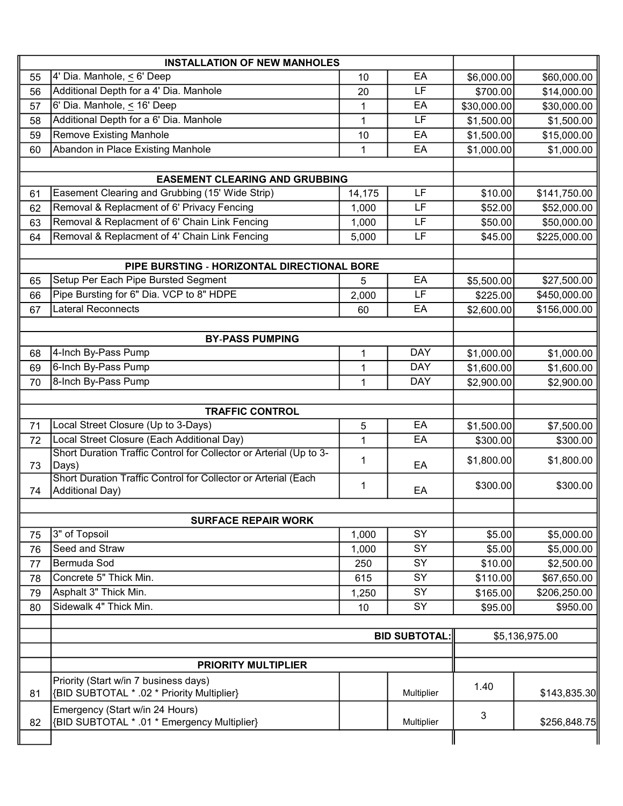|    | <b>INSTALLATION OF NEW MANHOLES</b>                                            |              |            |                |              |  |
|----|--------------------------------------------------------------------------------|--------------|------------|----------------|--------------|--|
| 55 | 4' Dia. Manhole, $\leq 6'$ Deep                                                | 10           | EA         | \$6,000.00     | \$60,000.00  |  |
| 56 | Additional Depth for a 4' Dia. Manhole                                         | 20           | LF         | \$700.00       | \$14,000.00  |  |
| 57 | 6' Dia. Manhole, < 16' Deep                                                    | $\mathbf{1}$ | EA         | \$30,000.00    | \$30,000.00  |  |
| 58 | Additional Depth for a 6' Dia. Manhole                                         | $\mathbf{1}$ | LF         | \$1,500.00     | \$1,500.00   |  |
| 59 | <b>Remove Existing Manhole</b>                                                 | 10           | EA         | \$1,500.00     | \$15,000.00  |  |
| 60 | Abandon in Place Existing Manhole                                              | 1            | EA         | \$1,000.00     | \$1,000.00   |  |
|    |                                                                                |              |            |                |              |  |
|    | <b>EASEMENT CLEARING AND GRUBBING</b>                                          |              |            |                |              |  |
| 61 | Easement Clearing and Grubbing (15' Wide Strip)                                | 14,175       | LF         | \$10.00        | \$141,750.00 |  |
| 62 | Removal & Replacment of 6' Privacy Fencing                                     | 1,000        | LF         | \$52.00        | \$52,000.00  |  |
| 63 | Removal & Replacment of 6' Chain Link Fencing                                  | 1,000        | LF         | \$50.00        | \$50,000.00  |  |
| 64 | Removal & Replacment of 4' Chain Link Fencing                                  | 5,000        | LF         | \$45.00        | \$225,000.00 |  |
|    |                                                                                |              |            |                |              |  |
|    | PIPE BURSTING - HORIZONTAL DIRECTIONAL BORE                                    |              |            |                |              |  |
| 65 | Setup Per Each Pipe Bursted Segment                                            | 5            | EA         | \$5,500.00     | \$27,500.00  |  |
| 66 | Pipe Bursting for 6" Dia. VCP to 8" HDPE                                       | 2,000        | LF         | \$225.00       | \$450,000.00 |  |
| 67 | Lateral Reconnects                                                             | 60           | EA         | \$2,600.00     | \$156,000.00 |  |
|    |                                                                                |              |            |                |              |  |
|    | <b>BY-PASS PUMPING</b>                                                         |              |            |                |              |  |
| 68 | 4-Inch By-Pass Pump                                                            | $\mathbf{1}$ | <b>DAY</b> | \$1,000.00     | \$1,000.00   |  |
| 69 | 6-Inch By-Pass Pump                                                            | 1            | <b>DAY</b> | \$1,600.00     | \$1,600.00   |  |
| 70 | 8-Inch By-Pass Pump                                                            | $\mathbf{1}$ | <b>DAY</b> | \$2,900.00     | \$2,900.00   |  |
|    |                                                                                |              |            |                |              |  |
|    | <b>TRAFFIC CONTROL</b><br>Local Street Closure (Up to 3-Days)                  |              | EA         |                |              |  |
| 71 | Local Street Closure (Each Additional Day)                                     | 5            | EA         | \$1,500.00     | \$7,500.00   |  |
| 72 | Short Duration Traffic Control for Collector or Arterial (Up to 3-             | 1            |            | \$300.00       | \$300.00     |  |
| 73 | Days)                                                                          | 1            | EA         | \$1,800.00     | \$1,800.00   |  |
|    | Short Duration Traffic Control for Collector or Arterial (Each                 |              |            |                |              |  |
| 74 | <b>Additional Day)</b>                                                         | 1            | EA         | \$300.00       | \$300.00     |  |
|    |                                                                                |              |            |                |              |  |
|    | <b>SURFACE REPAIR WORK</b>                                                     |              |            |                |              |  |
| 75 | 3" of Topsoil                                                                  | 1,000        | SY         | \$5.00         | \$5,000.00   |  |
| 76 | Seed and Straw                                                                 | 1,000        | SY         | \$5.00         | \$5,000.00   |  |
| 77 | Bermuda Sod                                                                    | 250          | SY         | \$10.00        | \$2,500.00   |  |
| 78 | Concrete 5" Thick Min.                                                         | 615          | SY         | \$110.00       | \$67,650.00  |  |
| 79 | Asphalt 3" Thick Min.                                                          | 1,250        | SY         | \$165.00       | \$206,250.00 |  |
| 80 | Sidewalk 4" Thick Min.                                                         | 10           | SY         | \$95.00        | \$950.00     |  |
|    |                                                                                |              |            |                |              |  |
|    | <b>BID SUBTOTAL:</b>                                                           |              |            | \$5,136,975.00 |              |  |
|    |                                                                                |              |            |                |              |  |
|    | <b>PRIORITY MULTIPLIER</b>                                                     |              |            |                |              |  |
|    | Priority (Start w/in 7 business days)                                          |              |            | 1.40           |              |  |
| 81 | {BID SUBTOTAL * .02 * Priority Multiplier}                                     |              | Multiplier |                | \$143,835.30 |  |
|    | Emergency (Start w/in 24 Hours)<br>{BID SUBTOTAL * .01 * Emergency Multiplier} |              |            | 3              |              |  |
| 82 |                                                                                |              | Multiplier |                | \$256,848.75 |  |
|    |                                                                                |              |            |                |              |  |